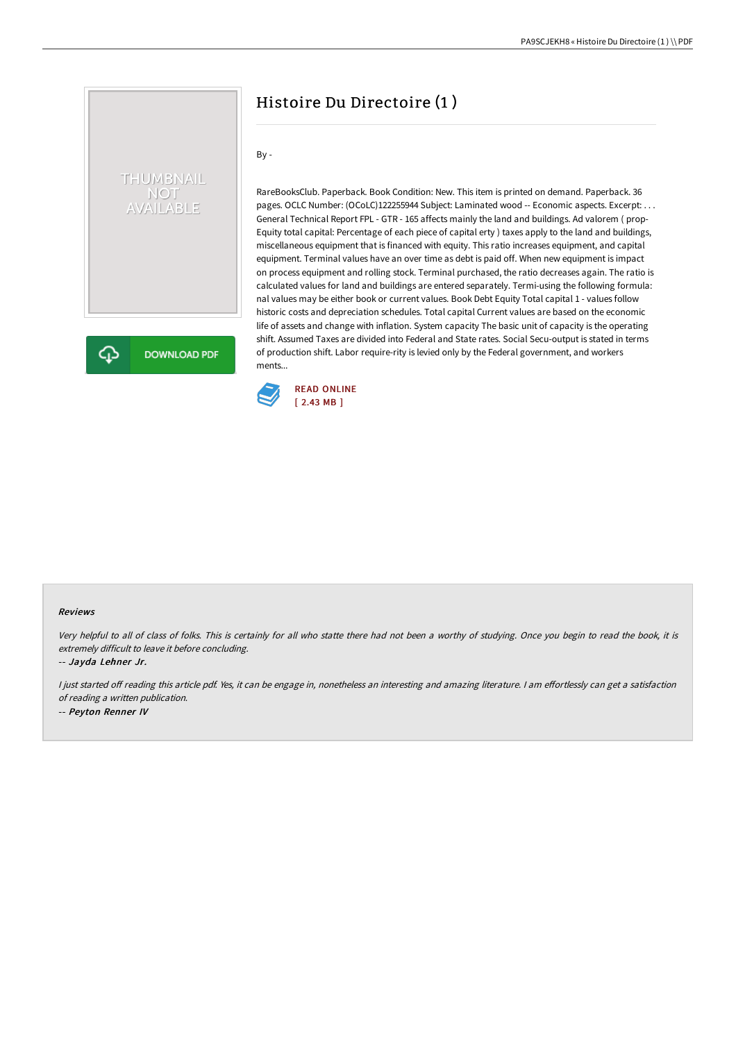# Histoire Du Directoire (1 )

By -

THUMBNAIL NOT<br>AVAILABLE

**DOWNLOAD PDF** 

RareBooksClub. Paperback. Book Condition: New. This item is printed on demand. Paperback. 36 pages. OCLC Number: (OCoLC)122255944 Subject: Laminated wood -- Economic aspects. Excerpt: . . . General Technical Report FPL - GTR - 165 affects mainly the land and buildings. Ad valorem ( prop-Equity total capital: Percentage of each piece of capital erty ) taxes apply to the land and buildings, miscellaneous equipment that is financed with equity. This ratio increases equipment, and capital equipment. Terminal values have an over time as debt is paid off. When new equipment is impact on process equipment and rolling stock. Terminal purchased, the ratio decreases again. The ratio is calculated values for land and buildings are entered separately. Termi-using the following formula: nal values may be either book or current values. Book Debt Equity Total capital 1 - values follow historic costs and depreciation schedules. Total capital Current values are based on the economic life of assets and change with inflation. System capacity The basic unit of capacity is the operating shift. Assumed Taxes are divided into Federal and State rates. Social Secu-output is stated in terms of production shift. Labor require-rity is levied only by the Federal government, and workers ments



#### Reviews

Very helpful to all of class of folks. This is certainly for all who statte there had not been <sup>a</sup> worthy of studying. Once you begin to read the book, it is extremely difficult to leave it before concluding.

-- Jayda Lehner Jr.

⊕

I just started off reading this article pdf. Yes, it can be engage in, nonetheless an interesting and amazing literature. I am effortlessly can get a satisfaction of reading <sup>a</sup> written publication. -- Peyton Renner IV